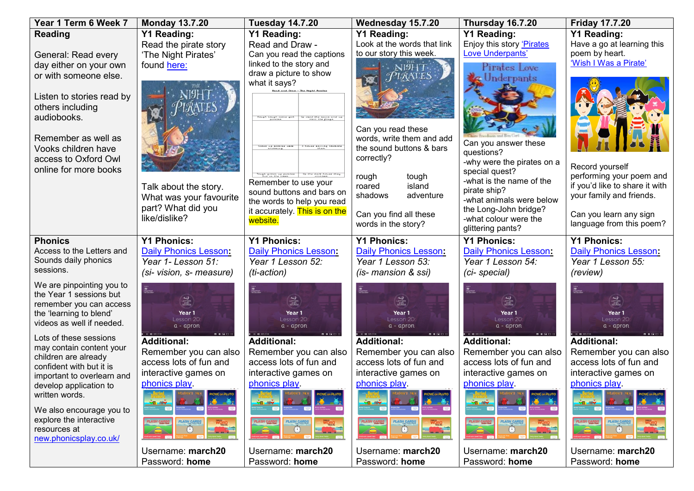| Year 1 Term 6 Week 7                                 | <b>Monday 13.7.20</b>                                                                                                                                | <b>Tuesday 14.7.20</b>                                                                        | Wednesday 15.7.20                                  | <b>Thursday 16.7.20</b>                            | <b>Friday 17.7.20</b>                                      |
|------------------------------------------------------|------------------------------------------------------------------------------------------------------------------------------------------------------|-----------------------------------------------------------------------------------------------|----------------------------------------------------|----------------------------------------------------|------------------------------------------------------------|
| <b>Reading</b>                                       | <b>Y1 Reading:</b>                                                                                                                                   | <b>Y1 Reading:</b>                                                                            | <b>Y1 Reading:</b>                                 | <b>Y1 Reading:</b>                                 | <b>Y1 Reading:</b>                                         |
|                                                      | Read the pirate story                                                                                                                                | Read and Draw -                                                                               | Look at the words that link                        | Enjoy this story 'Pirates                          | Have a go at learning this                                 |
| General: Read every                                  | 'The Night Pirates'                                                                                                                                  | Can you read the captions                                                                     | to our story this week.                            | Love Underpants'                                   | poem by heart.                                             |
| day either on your own                               | found here:                                                                                                                                          | linked to the story and                                                                       |                                                    | Pirates Love                                       | 'Wish I Was a Pirate'                                      |
| or with someone else.                                |                                                                                                                                                      | draw a picture to show<br>what it says?                                                       |                                                    | Underpants                                         |                                                            |
|                                                      |                                                                                                                                                      | Read and Draw - The Night Brates                                                              |                                                    |                                                    |                                                            |
| Listen to stories read by                            |                                                                                                                                                      |                                                                                               |                                                    |                                                    |                                                            |
| others including                                     |                                                                                                                                                      |                                                                                               |                                                    |                                                    |                                                            |
| audiobooks.                                          |                                                                                                                                                      |                                                                                               |                                                    |                                                    |                                                            |
| Remember as well as                                  |                                                                                                                                                      |                                                                                               | Can you read these<br>words, write them and add    |                                                    |                                                            |
| Vooks children have                                  |                                                                                                                                                      |                                                                                               | the sound buttons & bars                           | Can you answer these                               |                                                            |
| access to Oxford Owl                                 |                                                                                                                                                      |                                                                                               | correctly?                                         | questions?                                         |                                                            |
| online for more books                                |                                                                                                                                                      |                                                                                               |                                                    | -why were the pirates on a<br>special quest?       | Record yourself                                            |
|                                                      |                                                                                                                                                      | Tough grown up pirates<br>hid in the trees.<br>Up the dark house they<br>Remember to use your | tough<br>rough                                     | -what is the name of the                           | performing your poem and                                   |
|                                                      | Talk about the story.                                                                                                                                | sound buttons and bars on                                                                     | island<br>roared                                   | pirate ship?                                       | if you'd like to share it with<br>your family and friends. |
|                                                      | What was your favourite                                                                                                                              | the words to help you read                                                                    | shadows<br>adventure                               | -what animals were below                           |                                                            |
|                                                      | part? What did you                                                                                                                                   | it accurately. This is on the                                                                 | Can you find all these                             | the Long-John bridge?                              | Can you learn any sign                                     |
|                                                      | like/dislike?                                                                                                                                        | website.                                                                                      | words in the story?                                | -what colour were the                              | language from this poem?                                   |
|                                                      |                                                                                                                                                      |                                                                                               |                                                    | glittering pants?                                  |                                                            |
| <b>Phonics</b><br>Access to the Letters and          | <b>Y1 Phonics:</b><br><b>Daily Phonics Lesson:</b>                                                                                                   | <b>Y1 Phonics:</b><br>Daily Phonics Lesson:                                                   | <b>Y1 Phonics:</b><br><b>Daily Phonics Lesson:</b> | <b>Y1 Phonics:</b><br><b>Daily Phonics Lesson:</b> | <b>Y1 Phonics:</b><br><b>Daily Phonics Lesson:</b>         |
| Sounds daily phonics                                 | Year 1- Lesson 51:                                                                                                                                   | Year 1 Lesson 52:                                                                             | Year 1 Lesson 53:                                  | Year 1 Lesson 54:                                  | Year 1 Lesson 55:                                          |
| sessions.                                            | (si- vision, s- measure)                                                                                                                             | (ti-action)                                                                                   | (is- mansion & ssi)                                | (ci-special)                                       | (review)                                                   |
| We are pinpointing you to                            |                                                                                                                                                      |                                                                                               |                                                    |                                                    |                                                            |
| the Year 1 sessions but                              | $\begin{array}{ c c }\n\hline\n\text{RMS} & \text{MMS} \\ \hline\n\text{Dop} & \text{MMS} \\ \hline\n\text{MMS} & \text{MMS} \\ \hline\n\end{array}$ |                                                                                               |                                                    |                                                    |                                                            |
| remember you can access                              | $\frac{2}{\frac{1}{2}}$                                                                                                                              | Letters<br>uffires                                                                            | <b>AGE</b><br>LETTERS                              | ENTERS                                             | <b>AGE</b><br>LETTERS<br>SOUNDS                            |
| the 'learning to blend'                              | Year 1                                                                                                                                               | Year 1                                                                                        | Year 1                                             | Year 1                                             | Year 1                                                     |
| videos as well if needed.                            | Lesson 20<br>$a - a$ pron                                                                                                                            | Lesson 20:<br>a - apron                                                                       | Lesson 20<br>$a - a$ pron                          | Lesson 20:<br>$a - a$ pron                         | Lesson 20<br>$a - a$ pron                                  |
| Lots of these sessions                               | $B$ $B$ $B$ $D$ $t$<br><b>Additional:</b>                                                                                                            | <b>80000</b><br><b>Additional:</b>                                                            | 0.99900<br><b>Additional:</b>                      | 80800<br><b>Additional:</b>                        | 80800<br><b>Additional:</b>                                |
| may contain content your                             | Remember you can also                                                                                                                                | Remember you can also                                                                         | Remember you can also                              | Remember you can also                              | Remember you can also                                      |
| children are already                                 | access lots of fun and                                                                                                                               | access lots of fun and                                                                        | access lots of fun and                             | access lots of fun and                             | access lots of fun and                                     |
| confident with but it is                             | interactive games on                                                                                                                                 | interactive games on                                                                          | interactive games on                               | interactive games on                               | interactive games on                                       |
| important to overlearn and<br>develop application to | phonics play.                                                                                                                                        | phonics play.                                                                                 | phonics play                                       | phonics play.                                      | phonics play.                                              |
| written words.                                       | <b>ICNIC on PLUTO</b>                                                                                                                                | <b>ICNIC on PLUTO</b>                                                                         | <b>ICNIC on PLUTO</b>                              | <b>ICNIC on PLUTO</b>                              |                                                            |
|                                                      |                                                                                                                                                      |                                                                                               |                                                    |                                                    |                                                            |
| We also encourage you to<br>explore the interactive  |                                                                                                                                                      |                                                                                               |                                                    |                                                    |                                                            |
| resources at                                         | <b>FLASH CARDS</b><br>$\left( \begin{matrix} 1 \\ 1 \end{matrix} \right)$                                                                            | <b>FLASH CARDS</b><br>( I )                                                                   | <b>FLASH CARDS</b><br>$\bigcirc$                   | <b>FLASH CARDS</b><br>$\mathbb{C}$                 | <b>FLASH CARDS</b><br>$\mathbb{C}^2$                       |
| new.phonicsplay.co.uk/                               |                                                                                                                                                      |                                                                                               |                                                    |                                                    |                                                            |
|                                                      | Username: march20                                                                                                                                    | Username: march20                                                                             | Username: march20                                  | Username: march20                                  | Username: march20                                          |
|                                                      | Password: home                                                                                                                                       | Password: home                                                                                | Password: home                                     | Password: home                                     | Password: home                                             |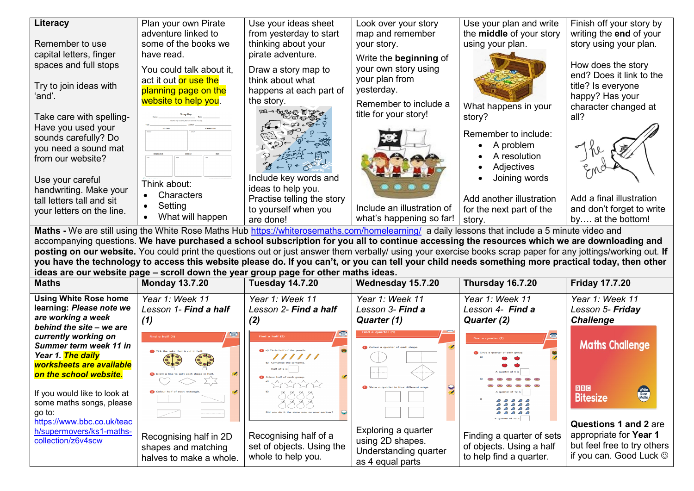